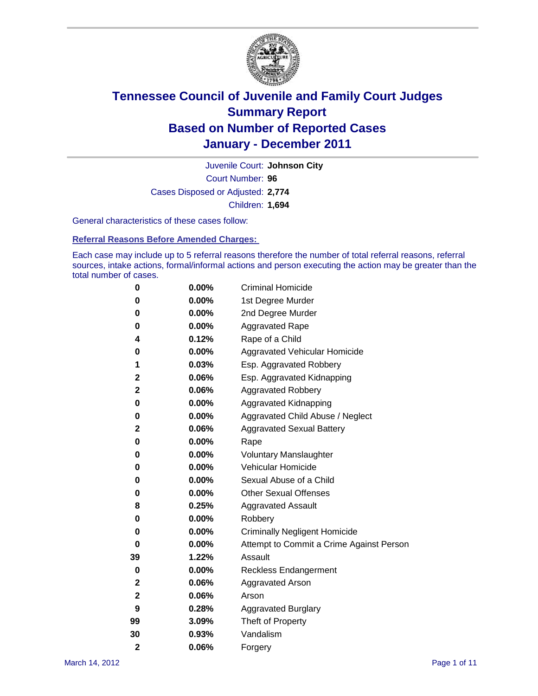

Court Number: **96** Juvenile Court: **Johnson City** Cases Disposed or Adjusted: **2,774** Children: **1,694**

General characteristics of these cases follow:

**Referral Reasons Before Amended Charges:** 

Each case may include up to 5 referral reasons therefore the number of total referral reasons, referral sources, intake actions, formal/informal actions and person executing the action may be greater than the total number of cases.

| 0              | 0.00%    | <b>Criminal Homicide</b>                 |  |  |  |
|----------------|----------|------------------------------------------|--|--|--|
| 0              | 0.00%    | 1st Degree Murder                        |  |  |  |
| 0              | 0.00%    | 2nd Degree Murder                        |  |  |  |
| 0              | 0.00%    | <b>Aggravated Rape</b>                   |  |  |  |
| 4              | 0.12%    | Rape of a Child                          |  |  |  |
| 0              | 0.00%    | Aggravated Vehicular Homicide            |  |  |  |
| 1              | 0.03%    | Esp. Aggravated Robbery                  |  |  |  |
| 2              | 0.06%    | Esp. Aggravated Kidnapping               |  |  |  |
| 2              | 0.06%    | <b>Aggravated Robbery</b>                |  |  |  |
| 0              | 0.00%    | Aggravated Kidnapping                    |  |  |  |
| 0              | 0.00%    | Aggravated Child Abuse / Neglect         |  |  |  |
| 2              | 0.06%    | <b>Aggravated Sexual Battery</b>         |  |  |  |
| 0              | 0.00%    | Rape                                     |  |  |  |
| 0              | 0.00%    | <b>Voluntary Manslaughter</b>            |  |  |  |
| 0              | 0.00%    | Vehicular Homicide                       |  |  |  |
| 0              | 0.00%    | Sexual Abuse of a Child                  |  |  |  |
| 0              | 0.00%    | <b>Other Sexual Offenses</b>             |  |  |  |
| 8              | 0.25%    | <b>Aggravated Assault</b>                |  |  |  |
| 0              | $0.00\%$ | Robbery                                  |  |  |  |
| 0              | 0.00%    | <b>Criminally Negligent Homicide</b>     |  |  |  |
| 0              | 0.00%    | Attempt to Commit a Crime Against Person |  |  |  |
| 39             | 1.22%    | Assault                                  |  |  |  |
| 0              | 0.00%    | <b>Reckless Endangerment</b>             |  |  |  |
| 2              | 0.06%    | <b>Aggravated Arson</b>                  |  |  |  |
| 2              | 0.06%    | Arson                                    |  |  |  |
| 9              | 0.28%    | <b>Aggravated Burglary</b>               |  |  |  |
| 99             | 3.09%    | Theft of Property                        |  |  |  |
| 30             | 0.93%    | Vandalism                                |  |  |  |
| $\overline{2}$ | 0.06%    | Forgery                                  |  |  |  |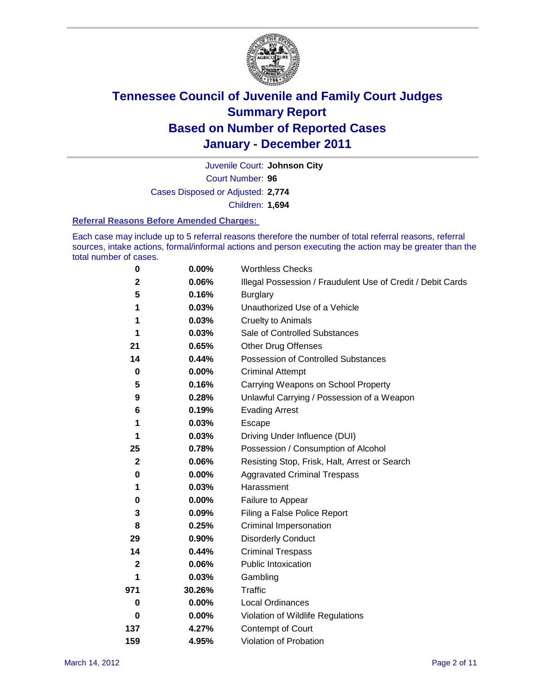

Court Number: **96** Juvenile Court: **Johnson City** Cases Disposed or Adjusted: **2,774** Children: **1,694**

#### **Referral Reasons Before Amended Charges:**

Each case may include up to 5 referral reasons therefore the number of total referral reasons, referral sources, intake actions, formal/informal actions and person executing the action may be greater than the total number of cases.

| $\pmb{0}$   | 0.00%    | <b>Worthless Checks</b>                                     |  |  |  |
|-------------|----------|-------------------------------------------------------------|--|--|--|
| 2           | 0.06%    | Illegal Possession / Fraudulent Use of Credit / Debit Cards |  |  |  |
| 5           | 0.16%    | <b>Burglary</b>                                             |  |  |  |
| 1           | 0.03%    | Unauthorized Use of a Vehicle                               |  |  |  |
| 1           | 0.03%    | <b>Cruelty to Animals</b>                                   |  |  |  |
| 1           | 0.03%    | Sale of Controlled Substances                               |  |  |  |
| 21          | 0.65%    | <b>Other Drug Offenses</b>                                  |  |  |  |
| 14          | 0.44%    | Possession of Controlled Substances                         |  |  |  |
| $\mathbf 0$ | $0.00\%$ | <b>Criminal Attempt</b>                                     |  |  |  |
| 5           | 0.16%    | Carrying Weapons on School Property                         |  |  |  |
| 9           | 0.28%    | Unlawful Carrying / Possession of a Weapon                  |  |  |  |
| 6           | 0.19%    | <b>Evading Arrest</b>                                       |  |  |  |
| 1           | 0.03%    | Escape                                                      |  |  |  |
| 1           | 0.03%    | Driving Under Influence (DUI)                               |  |  |  |
| 25          | 0.78%    | Possession / Consumption of Alcohol                         |  |  |  |
| $\mathbf 2$ | 0.06%    | Resisting Stop, Frisk, Halt, Arrest or Search               |  |  |  |
| 0           | $0.00\%$ | <b>Aggravated Criminal Trespass</b>                         |  |  |  |
| 1           | 0.03%    | Harassment                                                  |  |  |  |
| $\pmb{0}$   | 0.00%    | Failure to Appear                                           |  |  |  |
| 3           | 0.09%    | Filing a False Police Report                                |  |  |  |
| 8           | 0.25%    | Criminal Impersonation                                      |  |  |  |
| 29          | 0.90%    | <b>Disorderly Conduct</b>                                   |  |  |  |
| 14          | 0.44%    | <b>Criminal Trespass</b>                                    |  |  |  |
| 2           | 0.06%    | <b>Public Intoxication</b>                                  |  |  |  |
| 1           | 0.03%    | Gambling                                                    |  |  |  |
| 971         | 30.26%   | <b>Traffic</b>                                              |  |  |  |
| 0           | $0.00\%$ | Local Ordinances                                            |  |  |  |
| $\bf{0}$    | 0.00%    | Violation of Wildlife Regulations                           |  |  |  |
| 137         | 4.27%    | Contempt of Court                                           |  |  |  |
| 159         | 4.95%    | Violation of Probation                                      |  |  |  |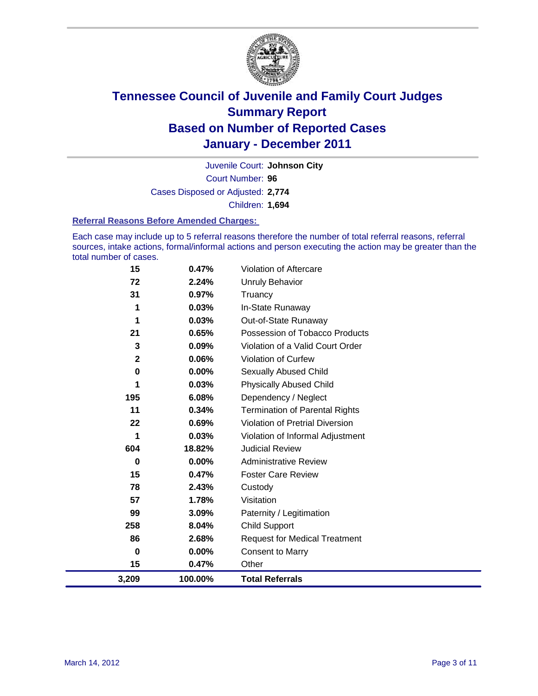

Court Number: **96** Juvenile Court: **Johnson City** Cases Disposed or Adjusted: **2,774** Children: **1,694**

#### **Referral Reasons Before Amended Charges:**

Each case may include up to 5 referral reasons therefore the number of total referral reasons, referral sources, intake actions, formal/informal actions and person executing the action may be greater than the total number of cases.

| 15                      | 0.47%   | Violation of Aftercare                 |
|-------------------------|---------|----------------------------------------|
| 72                      | 2.24%   | <b>Unruly Behavior</b>                 |
| 31                      | 0.97%   | Truancy                                |
| 1                       | 0.03%   | In-State Runaway                       |
| 1                       | 0.03%   | Out-of-State Runaway                   |
| 21                      | 0.65%   | Possession of Tobacco Products         |
| 3                       | 0.09%   | Violation of a Valid Court Order       |
| $\overline{\mathbf{2}}$ | 0.06%   | <b>Violation of Curfew</b>             |
| 0                       | 0.00%   | <b>Sexually Abused Child</b>           |
| 1                       | 0.03%   | <b>Physically Abused Child</b>         |
| 195                     | 6.08%   | Dependency / Neglect                   |
| 11                      | 0.34%   | <b>Termination of Parental Rights</b>  |
| 22                      | 0.69%   | <b>Violation of Pretrial Diversion</b> |
| 1                       | 0.03%   | Violation of Informal Adjustment       |
| 604                     | 18.82%  | <b>Judicial Review</b>                 |
| 0                       | 0.00%   | <b>Administrative Review</b>           |
| 15                      | 0.47%   | <b>Foster Care Review</b>              |
| 78                      | 2.43%   | Custody                                |
| 57                      | 1.78%   | Visitation                             |
| 99                      | 3.09%   | Paternity / Legitimation               |
| 258                     | 8.04%   | <b>Child Support</b>                   |
| 86                      | 2.68%   | <b>Request for Medical Treatment</b>   |
| 0                       | 0.00%   | <b>Consent to Marry</b>                |
| 15                      | 0.47%   | Other                                  |
| 3,209                   | 100.00% | <b>Total Referrals</b>                 |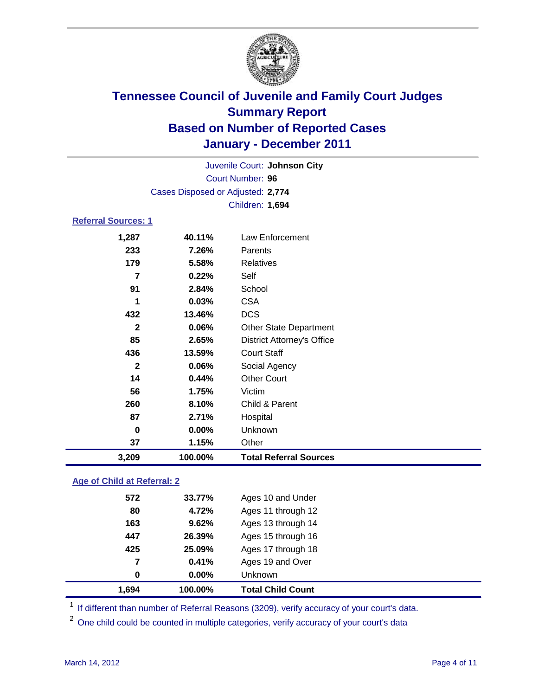

| Juvenile Court: Johnson City |                                   |                                   |  |  |  |
|------------------------------|-----------------------------------|-----------------------------------|--|--|--|
| <b>Court Number: 96</b>      |                                   |                                   |  |  |  |
|                              | Cases Disposed or Adjusted: 2,774 |                                   |  |  |  |
|                              | Children: 1,694                   |                                   |  |  |  |
| <b>Referral Sources: 1</b>   |                                   |                                   |  |  |  |
| 1,287                        | 40.11%                            | Law Enforcement                   |  |  |  |
| 233                          | 7.26%                             | Parents                           |  |  |  |
| 179                          | 5.58%                             | <b>Relatives</b>                  |  |  |  |
| 7                            | 0.22%                             | Self                              |  |  |  |
| 91                           | 2.84%                             | School                            |  |  |  |
| 1                            | 0.03%                             | <b>CSA</b>                        |  |  |  |
| 432                          | 13.46%                            | <b>DCS</b>                        |  |  |  |
| $\mathbf{2}$                 | 0.06%                             | <b>Other State Department</b>     |  |  |  |
| 85                           | 2.65%                             | <b>District Attorney's Office</b> |  |  |  |
| 436                          | 13.59%                            | <b>Court Staff</b>                |  |  |  |
| $\mathbf{2}$                 | 0.06%                             | Social Agency                     |  |  |  |
| 14                           | 0.44%                             | <b>Other Court</b>                |  |  |  |
| 56                           | 1.75%                             | Victim                            |  |  |  |
| 260                          | 8.10%                             | Child & Parent                    |  |  |  |
| 87                           | 2.71%                             | Hospital                          |  |  |  |
| 0                            | $0.00\%$                          | Unknown                           |  |  |  |
| 37                           | 1.15%                             | Other                             |  |  |  |
| 3,209                        | 100.00%                           | <b>Total Referral Sources</b>     |  |  |  |

### **Age of Child at Referral: 2**

| 1.694 | 100.00% | <b>Total Child Count</b> |  |
|-------|---------|--------------------------|--|
| 0     | 0.00%   | Unknown                  |  |
| 7     | 0.41%   | Ages 19 and Over         |  |
| 425   | 25.09%  | Ages 17 through 18       |  |
| 447   | 26.39%  | Ages 15 through 16       |  |
| 163   | 9.62%   | Ages 13 through 14       |  |
| 80    | 4.72%   | Ages 11 through 12       |  |
| 572   | 33.77%  | Ages 10 and Under        |  |
|       |         |                          |  |

<sup>1</sup> If different than number of Referral Reasons (3209), verify accuracy of your court's data.

<sup>2</sup> One child could be counted in multiple categories, verify accuracy of your court's data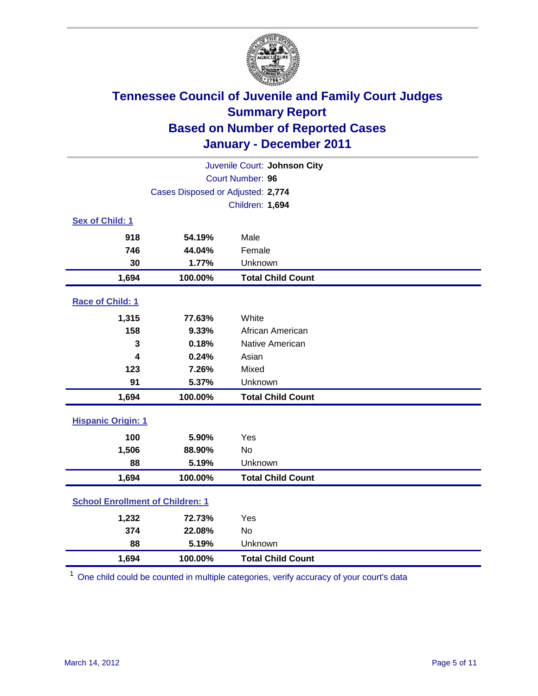

| Juvenile Court: Johnson City            |                                   |                          |  |  |  |
|-----------------------------------------|-----------------------------------|--------------------------|--|--|--|
| Court Number: 96                        |                                   |                          |  |  |  |
|                                         | Cases Disposed or Adjusted: 2,774 |                          |  |  |  |
|                                         |                                   | Children: 1,694          |  |  |  |
| Sex of Child: 1                         |                                   |                          |  |  |  |
| 918                                     | 54.19%                            | Male                     |  |  |  |
| 746                                     | 44.04%                            | Female                   |  |  |  |
| 30                                      | 1.77%                             | Unknown                  |  |  |  |
| 1,694                                   | 100.00%                           | <b>Total Child Count</b> |  |  |  |
| Race of Child: 1                        |                                   |                          |  |  |  |
| 1,315                                   | 77.63%                            | White                    |  |  |  |
| 158                                     | 9.33%                             | African American         |  |  |  |
| 3                                       | 0.18%                             | Native American          |  |  |  |
| 4                                       | 0.24%                             | Asian                    |  |  |  |
| 123                                     | 7.26%                             | Mixed                    |  |  |  |
| 91                                      | 5.37%                             | Unknown                  |  |  |  |
| 1,694                                   | 100.00%                           | <b>Total Child Count</b> |  |  |  |
| <b>Hispanic Origin: 1</b>               |                                   |                          |  |  |  |
| 100                                     | 5.90%                             | Yes                      |  |  |  |
| 1,506                                   | 88.90%                            | <b>No</b>                |  |  |  |
| 88                                      | 5.19%                             | Unknown                  |  |  |  |
| 1,694                                   | 100.00%                           | <b>Total Child Count</b> |  |  |  |
| <b>School Enrollment of Children: 1</b> |                                   |                          |  |  |  |
| 1,232                                   | 72.73%                            | Yes                      |  |  |  |
| 374                                     | 22.08%                            | No                       |  |  |  |
| 88                                      | 5.19%                             | Unknown                  |  |  |  |
| 1,694                                   | 100.00%                           | <b>Total Child Count</b> |  |  |  |

<sup>1</sup> One child could be counted in multiple categories, verify accuracy of your court's data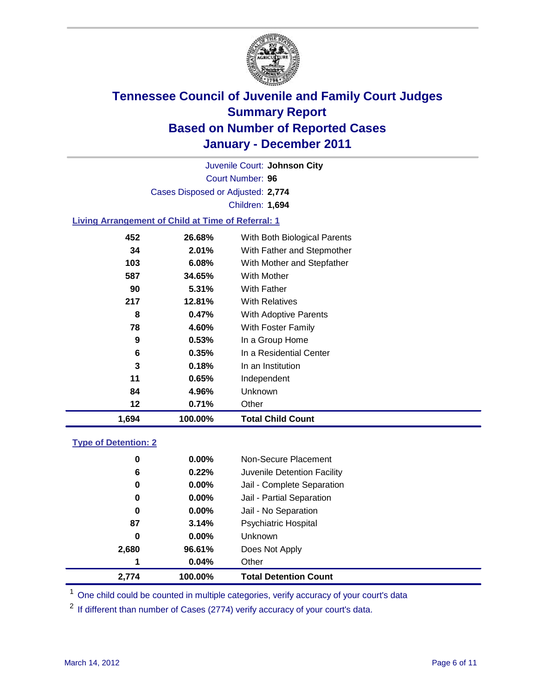

Court Number: **96** Juvenile Court: **Johnson City** Cases Disposed or Adjusted: **2,774** Children: **1,694**

### **Living Arrangement of Child at Time of Referral: 1**

| 1,694 | 100.00% | <b>Total Child Count</b>     |
|-------|---------|------------------------------|
| 12    | 0.71%   | Other                        |
| 84    | 4.96%   | Unknown                      |
| 11    | 0.65%   | Independent                  |
| 3     | 0.18%   | In an Institution            |
| 6     | 0.35%   | In a Residential Center      |
| 9     | 0.53%   | In a Group Home              |
| 78    | 4.60%   | With Foster Family           |
| 8     | 0.47%   | <b>With Adoptive Parents</b> |
| 217   | 12.81%  | <b>With Relatives</b>        |
| 90    | 5.31%   | With Father                  |
| 587   | 34.65%  | <b>With Mother</b>           |
| 103   | 6.08%   | With Mother and Stepfather   |
| 34    | 2.01%   | With Father and Stepmother   |
| 452   | 26.68%  | With Both Biological Parents |
|       |         |                              |

#### **Type of Detention: 2**

| 2.774 | 100.00%  | <b>Total Detention Count</b> |
|-------|----------|------------------------------|
| 1     | 0.04%    | Other                        |
| 2,680 | 96.61%   | Does Not Apply               |
| 0     | $0.00\%$ | <b>Unknown</b>               |
| 87    | 3.14%    | Psychiatric Hospital         |
| 0     | 0.00%    | Jail - No Separation         |
| 0     | $0.00\%$ | Jail - Partial Separation    |
| 0     | 0.00%    | Jail - Complete Separation   |
| 6     | 0.22%    | Juvenile Detention Facility  |
| 0     | $0.00\%$ | Non-Secure Placement         |
|       |          |                              |

<sup>1</sup> One child could be counted in multiple categories, verify accuracy of your court's data

<sup>2</sup> If different than number of Cases (2774) verify accuracy of your court's data.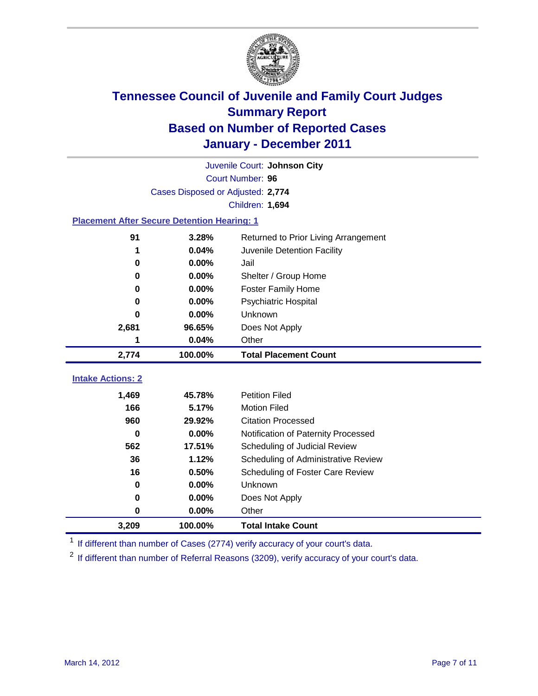

|                                                    | Juvenile Court: Johnson City      |                                      |  |  |  |
|----------------------------------------------------|-----------------------------------|--------------------------------------|--|--|--|
|                                                    | Court Number: 96                  |                                      |  |  |  |
|                                                    | Cases Disposed or Adjusted: 2,774 |                                      |  |  |  |
|                                                    |                                   | Children: 1,694                      |  |  |  |
| <b>Placement After Secure Detention Hearing: 1</b> |                                   |                                      |  |  |  |
| 91                                                 | 3.28%                             | Returned to Prior Living Arrangement |  |  |  |
| 1                                                  | 0.04%                             | Juvenile Detention Facility          |  |  |  |
| $\bf{0}$                                           | 0.00%                             | Jail                                 |  |  |  |
| $\bf{0}$                                           | 0.00%                             | Shelter / Group Home                 |  |  |  |
| 0                                                  | 0.00%                             | <b>Foster Family Home</b>            |  |  |  |
| $\bf{0}$                                           | 0.00%                             | <b>Psychiatric Hospital</b>          |  |  |  |
| 0                                                  | 0.00%                             | Unknown                              |  |  |  |
| 2,681                                              | 96.65%                            | Does Not Apply                       |  |  |  |
| 1                                                  | 0.04%                             | Other                                |  |  |  |
| 2,774                                              | 100.00%                           | <b>Total Placement Count</b>         |  |  |  |
| <b>Intake Actions: 2</b>                           |                                   |                                      |  |  |  |
| 1,469                                              | 45.78%                            | <b>Petition Filed</b>                |  |  |  |
| 166                                                | 5.17%                             | <b>Motion Filed</b>                  |  |  |  |
| 960                                                |                                   |                                      |  |  |  |
|                                                    | 29.92%                            | <b>Citation Processed</b>            |  |  |  |
| $\bf{0}$                                           | 0.00%                             | Notification of Paternity Processed  |  |  |  |
| 562                                                | 17.51%                            | Scheduling of Judicial Review        |  |  |  |
| 36                                                 | 1.12%                             | Scheduling of Administrative Review  |  |  |  |
| 16                                                 | 0.50%                             | Scheduling of Foster Care Review     |  |  |  |
| $\bf{0}$                                           | 0.00%                             | Unknown                              |  |  |  |
| 0                                                  | 0.00%                             | Does Not Apply                       |  |  |  |
| $\pmb{0}$                                          | 0.00%                             | Other                                |  |  |  |

<sup>1</sup> If different than number of Cases (2774) verify accuracy of your court's data.

<sup>2</sup> If different than number of Referral Reasons (3209), verify accuracy of your court's data.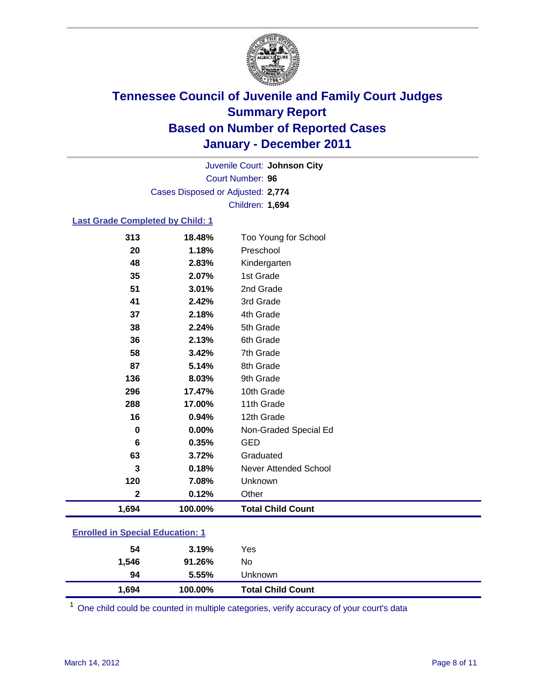

Court Number: **96** Juvenile Court: **Johnson City** Cases Disposed or Adjusted: **2,774** Children: **1,694**

#### **Last Grade Completed by Child: 1**

| <b>Enrolled in Special Education: 1</b> |         |                              |  |
|-----------------------------------------|---------|------------------------------|--|
| 1,694                                   | 100.00% | <b>Total Child Count</b>     |  |
| $\mathbf 2$                             | 0.12%   | Other                        |  |
| 120                                     | 7.08%   | Unknown                      |  |
| 3                                       | 0.18%   | <b>Never Attended School</b> |  |
| 63                                      | 3.72%   | Graduated                    |  |
| 6                                       | 0.35%   | <b>GED</b>                   |  |
| 0                                       | 0.00%   | Non-Graded Special Ed        |  |
| 16                                      | 0.94%   | 12th Grade                   |  |
| 288                                     | 17.00%  | 11th Grade                   |  |
| 296                                     | 17.47%  | 10th Grade                   |  |
| 136                                     | 8.03%   | 9th Grade                    |  |
| 87                                      | 5.14%   | 8th Grade                    |  |
| 58                                      | 3.42%   | 7th Grade                    |  |
| 36                                      | 2.13%   | 6th Grade                    |  |
| 38                                      | 2.24%   | 5th Grade                    |  |
| 37                                      | 2.18%   | 4th Grade                    |  |
| 41                                      | 2.42%   | 3rd Grade                    |  |
| 51                                      | 3.01%   | 2nd Grade                    |  |
| 35                                      | 2.07%   | 1st Grade                    |  |
| 48                                      | 2.83%   | Kindergarten                 |  |
| 20                                      | 1.18%   | Preschool                    |  |
| 313                                     | 18.48%  | Too Young for School         |  |

| 1,694 | 100.00% | <b>Total Child Count</b> |
|-------|---------|--------------------------|
| 94    | 5.55%   | Unknown                  |
| 1,546 | 91.26%  | No                       |
| 54    | 3.19%   | Yes                      |

One child could be counted in multiple categories, verify accuracy of your court's data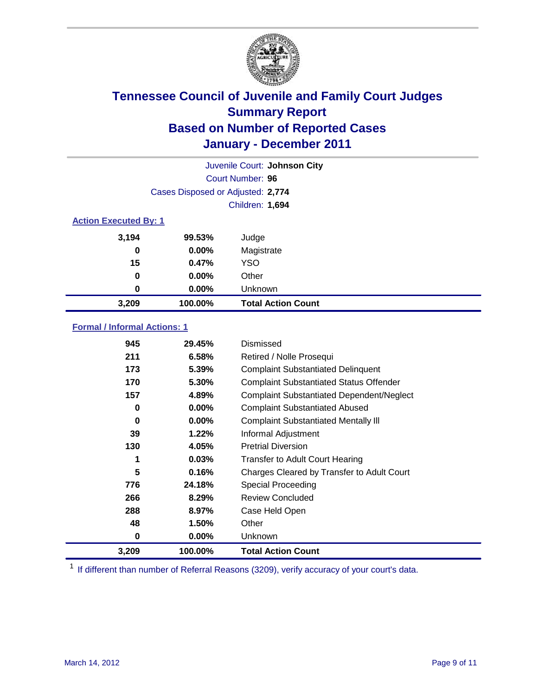

| Juvenile Court: Johnson City |                                   |                           |  |  |
|------------------------------|-----------------------------------|---------------------------|--|--|
|                              | Court Number: 96                  |                           |  |  |
|                              | Cases Disposed or Adjusted: 2,774 |                           |  |  |
|                              | Children: 1,694                   |                           |  |  |
| <b>Action Executed By: 1</b> |                                   |                           |  |  |
| 3,194                        | 99.53%                            | Judge                     |  |  |
| 0                            | $0.00\%$                          | Magistrate                |  |  |
| 15                           | 0.47%                             | <b>YSO</b>                |  |  |
| 0                            | $0.00\%$                          | Other                     |  |  |
| 0                            | 0.00%                             | Unknown                   |  |  |
| 3,209                        | 100.00%                           | <b>Total Action Count</b> |  |  |

### **Formal / Informal Actions: 1**

| 945   | 29.45%   | Dismissed                                        |
|-------|----------|--------------------------------------------------|
| 211   | 6.58%    | Retired / Nolle Prosequi                         |
| 173   | 5.39%    | <b>Complaint Substantiated Delinquent</b>        |
| 170   | 5.30%    | <b>Complaint Substantiated Status Offender</b>   |
| 157   | 4.89%    | <b>Complaint Substantiated Dependent/Neglect</b> |
| 0     | $0.00\%$ | <b>Complaint Substantiated Abused</b>            |
| 0     | $0.00\%$ | <b>Complaint Substantiated Mentally III</b>      |
| 39    | 1.22%    | Informal Adjustment                              |
| 130   | 4.05%    | <b>Pretrial Diversion</b>                        |
| 1     | 0.03%    | <b>Transfer to Adult Court Hearing</b>           |
| 5     | 0.16%    | Charges Cleared by Transfer to Adult Court       |
| 776   | 24.18%   | Special Proceeding                               |
| 266   | 8.29%    | <b>Review Concluded</b>                          |
| 288   | 8.97%    | Case Held Open                                   |
| 48    | 1.50%    | Other                                            |
| 0     | $0.00\%$ | <b>Unknown</b>                                   |
| 3,209 | 100.00%  | <b>Total Action Count</b>                        |

<sup>1</sup> If different than number of Referral Reasons (3209), verify accuracy of your court's data.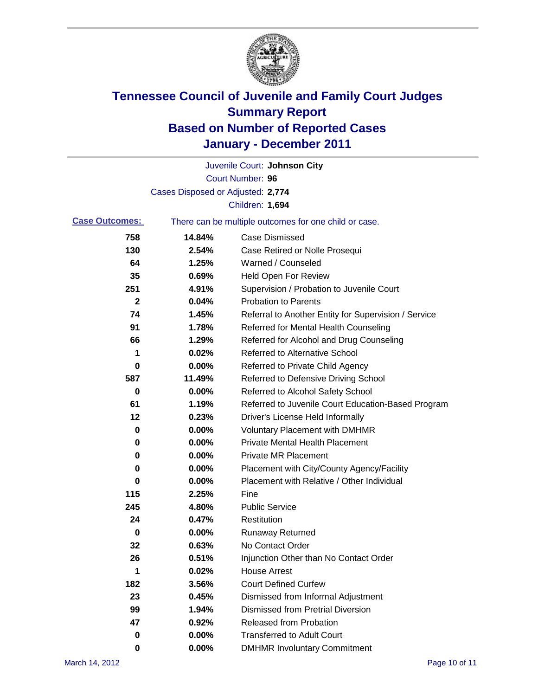

|                       |                                   | Juvenile Court: Johnson City                          |
|-----------------------|-----------------------------------|-------------------------------------------------------|
|                       |                                   | Court Number: 96                                      |
|                       | Cases Disposed or Adjusted: 2,774 |                                                       |
|                       |                                   | Children: 1,694                                       |
| <b>Case Outcomes:</b> |                                   | There can be multiple outcomes for one child or case. |
| 758                   | 14.84%                            | <b>Case Dismissed</b>                                 |
| 130                   | 2.54%                             | Case Retired or Nolle Prosequi                        |
| 64                    | 1.25%                             | Warned / Counseled                                    |
| 35                    | 0.69%                             | <b>Held Open For Review</b>                           |
| 251                   | 4.91%                             | Supervision / Probation to Juvenile Court             |
| 2                     | 0.04%                             | <b>Probation to Parents</b>                           |
| 74                    | 1.45%                             | Referral to Another Entity for Supervision / Service  |
| 91                    | 1.78%                             | Referred for Mental Health Counseling                 |
| 66                    | 1.29%                             | Referred for Alcohol and Drug Counseling              |
| 1                     | 0.02%                             | <b>Referred to Alternative School</b>                 |
| 0                     | 0.00%                             | Referred to Private Child Agency                      |
| 587                   | 11.49%                            | Referred to Defensive Driving School                  |
| 0                     | 0.00%                             | Referred to Alcohol Safety School                     |
| 61                    | 1.19%                             | Referred to Juvenile Court Education-Based Program    |
| 12                    | 0.23%                             | Driver's License Held Informally                      |
| 0                     | 0.00%                             | <b>Voluntary Placement with DMHMR</b>                 |
| 0                     | 0.00%                             | <b>Private Mental Health Placement</b>                |
| 0                     | 0.00%                             | <b>Private MR Placement</b>                           |
| 0                     | 0.00%                             | Placement with City/County Agency/Facility            |
| 0                     | 0.00%                             | Placement with Relative / Other Individual            |
| 115                   | 2.25%                             | Fine                                                  |
| 245                   | 4.80%                             | <b>Public Service</b>                                 |
| 24                    | 0.47%                             | Restitution                                           |
| 0                     | 0.00%                             | <b>Runaway Returned</b>                               |
| 32                    | 0.63%                             | No Contact Order                                      |
| 26                    | 0.51%                             | Injunction Other than No Contact Order                |
| 1                     | 0.02%                             | <b>House Arrest</b>                                   |
| 182                   | 3.56%                             | <b>Court Defined Curfew</b>                           |
| 23                    | 0.45%                             | Dismissed from Informal Adjustment                    |
| 99                    | 1.94%                             | <b>Dismissed from Pretrial Diversion</b>              |
| 47                    | 0.92%                             | <b>Released from Probation</b>                        |
| 0                     | 0.00%                             | <b>Transferred to Adult Court</b>                     |
| 0                     | 0.00%                             | <b>DMHMR Involuntary Commitment</b>                   |